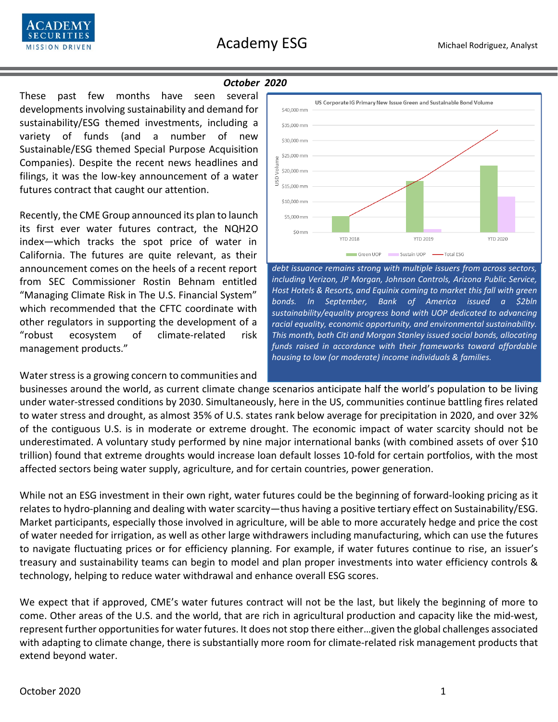

### *October 2020*

These past few months have seen several developments involving sustainability and demand for sustainability/ESG themed investments, including a variety of funds (and a number of new Sustainable/ESG themed Special Purpose Acquisition Companies). Despite the recent news headlines and filings, it was the low-key announcement of a water futures contract that caught our attention.

Recently, the CME Group announced its plan to launch its first ever water futures contract, the NQH2O index—which tracks the spot price of water in California. The futures are quite relevant, as their announcement comes on the heels of a recent report from SEC Commissioner Rostin Behnam entitled "Managing Climate Risk in The U.S. Financial System" which recommended that the CFTC coordinate with other regulators in supporting the development of a "robust ecosystem of climate-related risk management products."

### Water stress is a growing concern to communities and



*debt issuance remains strong with multiple issuers from across sectors, including Verizon, JP Morgan, Johnson Controls, Arizona Public Service, Host Hotels & Resorts, and Equinix coming to market this fall with green bonds. In September, Bank of America issued a \$2bln sustainability/equality progress bond with UOP dedicated to advancing racial equality, economic opportunity, and environmental sustainability. This month, both Citi and Morgan Stanley issued social bonds, allocating funds raised in accordance with their frameworks toward affordable housing to low (or moderate) income individuals & families.* 

businesses around the world, as current climate change scenarios anticipate half the world's population to be living under water-stressed conditions by 2030. Simultaneously, here in the US, communities continue battling fires related to water stress and drought, as almost 35% of U.S. states rank below average for precipitation in 2020, and over 32% of the contiguous U.S. is in moderate or extreme drought. The economic impact of water scarcity should not be underestimated. A voluntary study performed by nine major international banks (with combined assets of over \$10 trillion) found that extreme droughts would increase loan default losses 10-fold for certain portfolios, with the most affected sectors being water supply, agriculture, and for certain countries, power generation.

While not an ESG investment in their own right, water futures could be the beginning of forward-looking pricing as it relates to hydro-planning and dealing with water scarcity—thus having a positive tertiary effect on Sustainability/ESG. Market participants, especially those involved in agriculture, will be able to more accurately hedge and price the cost of water needed for irrigation, as well as other large withdrawers including manufacturing, which can use the futures to navigate fluctuating prices or for efficiency planning. For example, if water futures continue to rise, an issuer's treasury and sustainability teams can begin to model and plan proper investments into water efficiency controls & technology, helping to reduce water withdrawal and enhance overall ESG scores.

We expect that if approved, CME's water futures contract will not be the last, but likely the beginning of more to come. Other areas of the U.S. and the world, that are rich in agricultural production and capacity like the mid-west, represent further opportunities for water futures. It does not stop there either…given the global challenges associated with adapting to climate change, there is substantially more room for climate-related risk management products that extend beyond water.